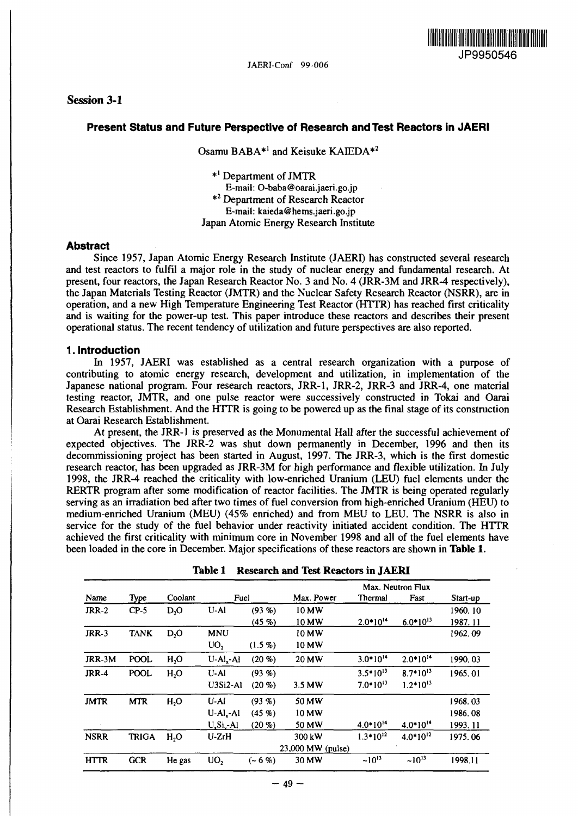## **Session 3-1**

# <u> IN AN DE AN AN DE AN DE AN DE AN DE AN DE AN DE AN DE AN DE AN DE AN DE AN DE AN DE AN DE AN DE AN DE AN DE A</u> **JP9950546**

### **Present Status and Future Perspective of Research and Test Reactors in JAERI**

Osamu BABA\*<sup>1</sup> and Keisuke KAIEDA\*<sup>2</sup>

\*' Department of JMTR

E-mail: O-baba@oarai.jaeri.go.jp

\*<sup>2</sup> Department of Research Reactor

E-mail: kaieda@hems.jaeri.go.jp

Japan Atomic Energy Research Institute

#### **Abstract**

Since 1957, Japan Atomic Energy Research Institute (JAERI) has constructed several research and test reactors to fulfil a major role in the study of nuclear energy and fundamental research. At present, four reactors, the Japan Research Reactor No. 3 and No. 4 (JRR-3M and JRR-4 respectively), the Japan Materials Testing Reactor (JMTR) and the Nuclear Safety Research Reactor (NSRR), are in operation, and a new High Temperature Engineering Test Reactor (HTTR) has reached first criticality and is waiting for the power-up test. This paper introduce these reactors and describes their present operational status. The recent tendency of utilization and future perspectives are also reported.

### **1. Introduction**

In 1957, JAERI was established as a central research organization with a purpose of contributing to atomic energy research, development and utilization, in implementation of the Japanese national program. Four research reactors, JRR-1, JRR-2, JRR-3 and JRR-4, one material testing reactor, JMTR, and one pulse reactor were successively constructed in Tokai and Oarai Research Establishment. And the HTTR is going to be powered up as the final stage of its construction at Oarai Research Establishment.

At present, the JRR-1 is preserved as the Monumental Hall after the successful achievement of expected objectives. The JRR-2 was shut down permanently in December, 1996 and then its decommissioning project has been started in August, 1997. The JRR-3, which is the first domestic research reactor, has been upgraded as JRR-3M for high performance and flexible utilization. In July 1998, the JRR-4 reached the criticality with low-enriched Uranium (LEU) fuel elements under the RERTR program after some modification of reactor facilities. The JMTR is being operated regularly serving as an irradiation bed after two times of fuel conversion from high-enriched Uranium (HEU) to medium-enriched Uranium (MEU) (45% enriched) and from MEU to LEU. The NSRR is also in service for the study of the fuel behavior under reactivity initiated accident condition. The HTTR achieved the first criticality with minimum core in November 1998 and all of the fuel elements have been loaded in the core in December. Major specifications of these reactors are shown in **Table 1.**

|              | Type         | Coolant          |                 |                   |                   |               |               |          |
|--------------|--------------|------------------|-----------------|-------------------|-------------------|---------------|---------------|----------|
|              |              |                  |                 | Max. Neutron Flux |                   |               |               |          |
| Name         |              |                  | Fuel            |                   | Max. Power        | Thermal       | Fast          | Start-up |
| <b>JRR-2</b> | $CP-5$       | $D_2O$           | U-AI            | (93, 96)          | 10 MW             |               |               | 1960, 10 |
|              |              |                  |                 | (45.9)            | 10 MW             | $2.0*10^{14}$ | $6.0*10^{13}$ | 1987.11  |
| <b>JRR-3</b> | <b>TANK</b>  | $D_2O$           | <b>MNU</b>      |                   | 10 MW             |               |               | 1962.09  |
|              |              |                  | UO <sub>2</sub> | $(1.5\%)$         | 10 MW             |               |               |          |
| JRR-3M       | <b>POOL</b>  | H <sub>2</sub> O | $U-Al - Al$     | (20, 9)           | 20 MW             | $3.0*10^{14}$ | $2.0*10^{14}$ | 1990.03  |
| <b>JRR-4</b> | <b>POOL</b>  | H <sub>2</sub> O | $U-A1$          | (93, 96)          |                   | $3.5*10^{13}$ | $8.7*10^{13}$ | 1965.01  |
|              |              |                  | $U3Si2-A1$      | (20, 9)           | $3.5$ MW          | $7.0*10^{13}$ | $1.2*10^{13}$ |          |
| <b>JMTR</b>  | <b>MTR</b>   | H <sub>2</sub> O | U-AI            | (93, 96)          | 50 MW             |               |               | 1968.03  |
|              |              |                  | $U-AI - AI$     | (45, 96)          | 10 MW             |               |               | 1986.08  |
|              |              |                  | $U_xSi_y-Al$    | (20, 9)           | 50 MW             | $4.0*10^{14}$ | $4.0*10^{14}$ | 1993.11  |
| <b>NSRR</b>  | <b>TRIGA</b> | H <sub>2</sub> O | $U-ZrH$         |                   | 300 kW            | $1.3*10^{12}$ | $4.0*10^{12}$ | 1975.06  |
|              |              |                  |                 |                   | 23,000 MW (pulse) |               |               |          |
| <b>HTTR</b>  | <b>GCR</b>   | He gas           | UO <sub>2</sub> | $(-6%)$           | 30 MW             | $-10^{13}$    | $~10^{13}$    | 1998.11  |

## **Table 1 Research and Test Reactors in JAERI**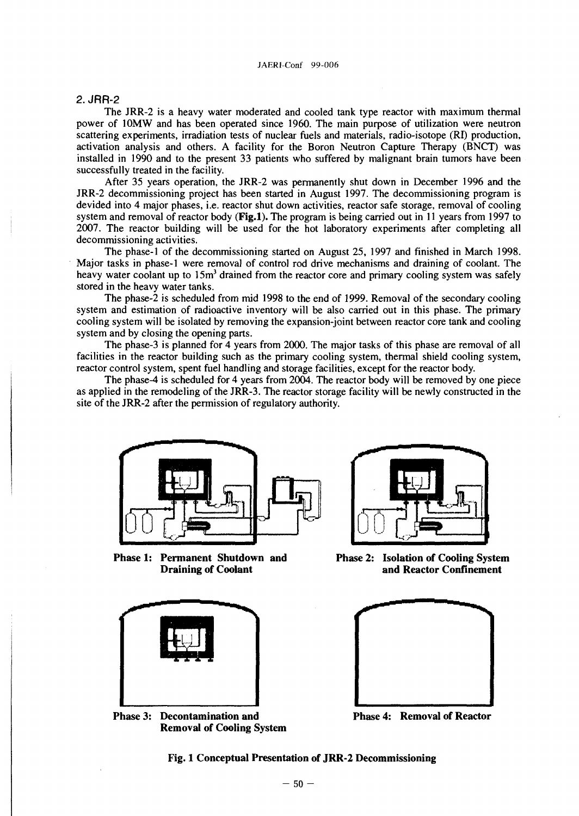### 2. JRR-2

The JRR-2 is a heavy water moderated and cooled tank type reactor with maximum thermal power of 10MW and has been operated since 1960. The main purpose of utilization were neutron scattering experiments, irradiation tests of nuclear fuels and materials, radio-isotope (RI) production, activation analysis and others. A facility for the Boron Neutron Capture Therapy (BNCT) was installed in 1990 and to the present 33 patients who suffered by malignant brain tumors have been successfully treated in the facility.

After 35 years operation, the JRR-2 was permanently shut down in December 1996 and the JRR-2 decommissioning project has been started in August 1997. The decommissioning program is devided into 4 major phases, i.e. reactor shut down activities, reactor safe storage, removal of cooling system and removal of reactor body **(Fig.l).** The program is being carried out in 11 years from 1997 to 2007. The reactor building will be used for the hot laboratory experiments after completing all decommissioning activities.

The phase-1 of the decommissioning started on August 25, 1997 and finished in March 1998. Major tasks in phase-1 were removal of control rod drive mechanisms and draining of coolant. The heavy water coolant up to 15m<sup>3</sup> drained from the reactor core and primary cooling system was safely stored in the heavy water tanks.

The phase-2 is scheduled from mid 1998 to the end of 1999. Removal of the secondary cooling system and estimation of radioactive inventory will be also carried out in this phase. The primary cooling system will be isolated by removing the expansion-joint between reactor core tank and cooling system and by closing the opening parts.

The phase-3 is planned for 4 years from 2000. The major tasks of this phase are removal of all facilities in the reactor building such as the primary cooling system, thermal shield cooling system, reactor control system, spent fuel handling and storage facilities, except for the reactor body.

The phase-4 is scheduled for 4 years from 2004. The reactor body will be removed by one piece as applied in the remodeling of the JRR-3. The reactor storage facility will be newly constructed in the site of the JRR-2 after the permission of regulatory authority.



**Phase 1: Permanent Shutdown and Draining of Coolant**



**Phase 3: Decontamination and Removal of Cooling System**



**Phase 2: Isolation of Cooling System and Reactor Confinement**



**Phase 4: Removal of Reactor**

**Fig. 1 Conceptual Presentation of JRR-2 Decommissioning**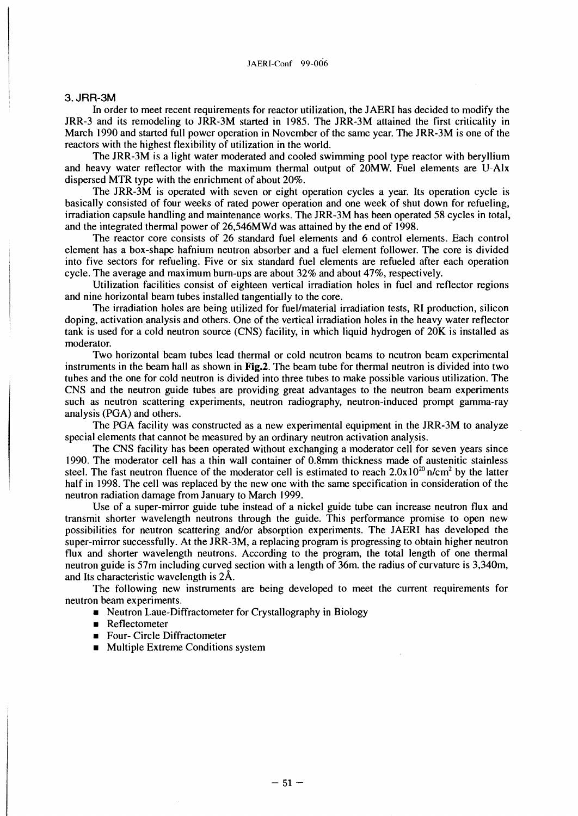#### 3. JRR-3M

In order to meet recent requirements for reactor utilization, the JAERI has decided to modify the JRR-3 and its remodeling to JRR-3M started in 1985. The JRR-3M attained the first criticality in March 1990 and started full power operation in November of the same year. The JRR-3M is one of the reactors with the highest flexibility of utilization in the world.

The JRR-3M is a light water moderated and cooled swimming pool type reactor with beryllium and heavy water reflector with the maximum thermal output of 20MW. Fuel elements are U-Alx dispersed MTR type with the enrichment of about 20%.

The JRR-3M is operated with seven or eight operation cycles a year. Its operation cycle is basically consisted of four weeks of rated power operation and one week of shut down for refueling, irradiation capsule handling and maintenance works. The JRR-3M has been operated 58 cycles in total, and the integrated thermal power of 26,546MWd was attained by the end of 1998.

The reactor core consists of 26 standard fuel elements and 6 control elements. Each control element has a box-shape hafnium neutron absorber and a fuel element follower. The core is divided into five sectors for refueling. Five or six standard fuel elements are refueled after each operation cycle. The average and maximum burn-ups are about 32% and about 47%, respectively.

Utilization facilities consist of eighteen vertical irradiation holes in fuel and reflector regions and nine horizontal beam tubes installed tangentially to the core.

The irradiation holes are being utilized for fuel/material irradiation tests, RI production, silicon doping, activation analysis and others. One of the vertical irradiation holes in the heavy water reflector tank is used for a cold neutron source (CNS) facility, in which liquid hydrogen of 20K is installed as moderator.

Two horizontal beam tubes lead thermal or cold neutron beams to neutron beam experimental instruments in the beam hall as shown in Fig.2. The beam tube for thermal neutron is divided into two tubes and the one for cold neutron is divided into three tubes to make possible various utilization. The CNS and the neutron guide tubes are providing great advantages to the neutron beam experiments such as neutron scattering experiments, neutron radiography, neutron-induced prompt gamma-ray analysis (PGA) and others.

The PGA facility was constructed as a new experimental equipment in the JRR-3M to analyze special elements that cannot be measured by an ordinary neutron activation analysis.

The CNS facility has been operated without exchanging a moderator cell for seven years since 1990. The moderator cell has a thin wall container of 0.8mm thickness made of austenitic stainless steel. The fast neutron fluence of the moderator cell is estimated to reach  $2.0x10^{20}$  n/cm<sup>2</sup> by the latter half in 1998. The cell was replaced by the new one with the same specification in consideration of the neutron radiation damage from January to March 1999.

Use of a super-mirror guide tube instead of a nickel guide tube can increase neutron flux and transmit shorter wavelength neutrons through the guide. This performance promise to open new possibilities for neutron scattering and/or absorption experiments. The JAERI has developed the super-mirror successfully. At the JRR-3M, a replacing program is progressing to obtain higher neutron flux and shorter wavelength neutrons. According to the program, the total length of one thermal neutron guide is 57m including curved section with a length of 36m. the radius of curvature is 3,340m, and Its characteristic wavelength is 2A.

The following new instruments are being developed to meet the current requirements for neutron beam experiments.

- Neutron Laue-Diffractometer for Crystallography in Biology
- **•** Reflectometer
- **Four- Circle Diffractometer**
- Multiple Extreme Conditions system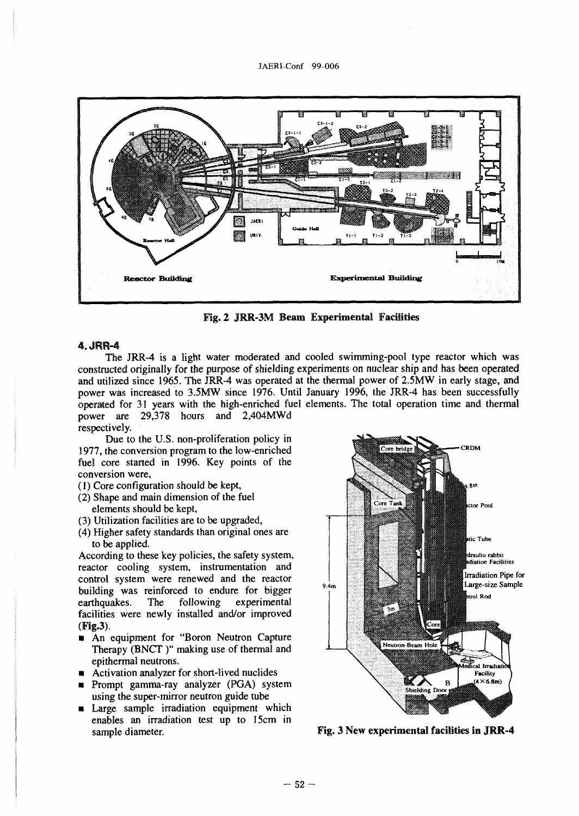

Fig. 2 JRR-3M Beam Experimental Facilities

#### 4.JRR-4

The JRR-4 is a light water moderated and cooled swimming-pool type reactor which was constructed originally for the purpose of shielding experiments on nuclear ship and has been operated and utilized since 1965. The JRR-4 was operated at the thermal power of 2.5MW in early stage, and power was increased to 3.5MW since 1976. Until January 1996, the JRR-4 has been successfully operated for 31 years with the high-enriched fuel elements. The total operation time and thermal power are 29,378 hours and 2,404MWd respectively.

Due to the U.S. non-proliferation policy in 1977, the conversion program to the low-enriched fuel core started in 1996. Key points of the conversion were,

- (1) Core configuration should be kept,
- (2) Shape and main dimension of the fuel elements should be kept,
- (3) Utilization facilities are to be upgraded,
- (4) Higher safety standards than original ones are to be applied.

According to these key policies, the safety system, reactor cooling system, instrumentation and control system were renewed and the reactor building was reinforced to endure for bigger<br>earthquakes. The following experimental earthquakes. The facilities were newly installed and/or improved (Fig.3).

- **An equipment for "Boron Neutron Capture** Therapy (BNCT )" making use of thermal and epithermal neutrons.
- **•** Activation analyzer for short-lived nuclides
- **•** Prompt gamma-ray analyzer (PGA) system using the super-mirror neutron guide tube
- **u** Large sample irradiation equipment which enables an irradiation test up to 15cm in sample diameter. The sample diameter. Fig. 3 New experimental facilities in JRR-4

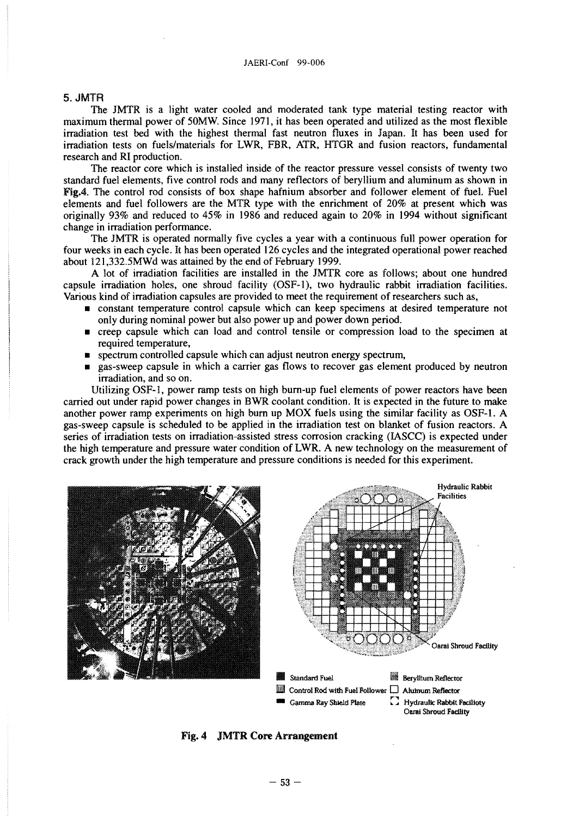#### JAERI-Conf 99-006

#### 5. JMTR

The JMTR is a light water cooled and moderated tank type material testing reactor with maximum thermal power of 50MW. Since 1971, it has been operated and utilized as the most flexible irradiation test bed with the highest thermal fast neutron fluxes in Japan. It has been used for irradiation tests on fuels/materials for LWR, FBR, ATR, HTGR and fusion reactors, fundamental research and RI production.

The reactor core which is installed inside of the reactor pressure vessel consists of twenty two standard fuel elements, five control rods and many reflectors of beryllium and aluminum as shown in Fig.4. The control rod consists of box shape hafnium absorber and follower element of fuel. Fuel elements and fuel followers are the MTR type with the enrichment of 20% at present which was originally 93% and reduced to 45% in 1986 and reduced again to  $20\%$  in 1994 without significant change in irradiation performance.

The JMTR is operated normally five cycles a year with a continuous full power operation for four weeks in each cycle. It has been operated 126 cycles and the integrated operational power reached about 121,332.5MWd was attained by the end of February 1999.

A lot of irradiation facilities are installed in the JMTR core as follows; about one hundred capsule irradiation holes, one shroud facility (OSF-1), two hydraulic rabbit irradiation facilities. Various kind of irradiation capsules are provided to meet the requirement of researchers such as,

- **constant temperature control capsule which can keep specimens at desired temperature not** only during nominal power but also power up and power down period.
- **•** creep capsule which can load and control tensile or compression load to the specimen at required temperature,
- **•** spectrum controlled capsule which can adjust neutron energy spectrum,
- gas-sweep capsule in which a carrier gas flows to recover gas element produced by neutron irradiation, and so on.

Utilizing OSF-1, power ramp tests on high burn-up fuel elements of power reactors have been carried out under rapid power changes in BWR coolant condition. It is expected in the future to make another power ramp experiments on high burn up MOX fuels using the similar facility as OSF-1. A gas-sweep capsule is scheduled to be applied in the irradiation test on blanket of fusion reactors. A series of irradiation tests on irradiation-assisted stress corrosion cracking (IASCC) is expected under the high temperature and pressure water condition of LWR. A new technology on the measurement of crack growth under the high temperature and pressure conditions is needed for this experiment.





- **Control Rod with Fuel Follower D Alumum Reflector** 
	-
	- **Gamma Ray Shield Plate Hydraulic Rabbit Facilioty Oaral Shroud Facility**

#### Fig. 4 JMTR **Core Arrangement**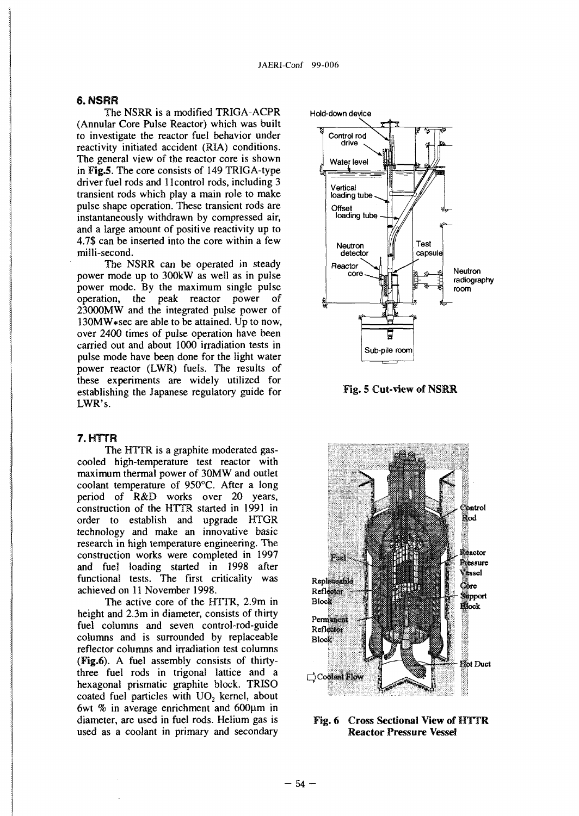### **6.** *HSRR*

The NSRR is a modified TRIGA-ACPR (Annular Core Pulse Reactor) which was built to investigate the reactor fuel behavior under reactivity initiated accident (RIA) conditions. The general view of the reactor core is shown in Fig.5. The core consists of 149 TRIGA-type driver fuel rods and 1 Icontrol rods, including 3 transient rods which play a main role to make pulse shape operation. These transient rods are instantaneously withdrawn by compressed air, and a large amount of positive reactivity up to 4.7\$ can be inserted into the core within a few milli-second.

The NSRR can be operated in steady power mode up to 300kW as well as in pulse power mode. By the maximum single pulse operation, the peak reactor power of 23000MW and the integrated pulse power of 130MW\*sec are able to be attained. Up to now, over 2400 times of pulse operation have been carried out and about 1000 irradiation tests in pulse mode have been done for the light water power reactor (LWR) fuels. The results of these experiments are widely utilized for establishing the Japanese regulatory guide for LWR's.

### 7.HTTR

The HTTR is a graphite moderated gascooled high-temperature test reactor with maximum thermal power of 30MW and outlet coolant temperature of 950°C. After a long period of R&D works over 20 years, construction of the HTTR started in 1991 in order to establish and upgrade HTGR technology and make an innovative basic research in high temperature engineering. The construction works were completed in 1997 and fuel loading started in 1998 after functional tests. The first criticality was achieved on 11 November 1998.

The active core of the HTTR, 2.9m in height and 2.3m in diameter, consists of thirty fuel columns and seven control-rod-guide columns and is surrounded by replaceable reflector columns and irradiation test columns (Fig.6). A fuel assembly consists of thirtythree fuel rods in trigonal lattice and a hexagonal prismatic graphite block. TRISO coated fuel particles with  $UO<sub>2</sub>$  kernel, about 6wt  $%$  in average enrichment and 600 $\mu$ m in diameter, are used in fuel rods. Helium gas is used as a coolant in primary and secondary







Fig. 6 Cross Sectional View of HTTR Reactor Pressure Vessel

**-54 -**